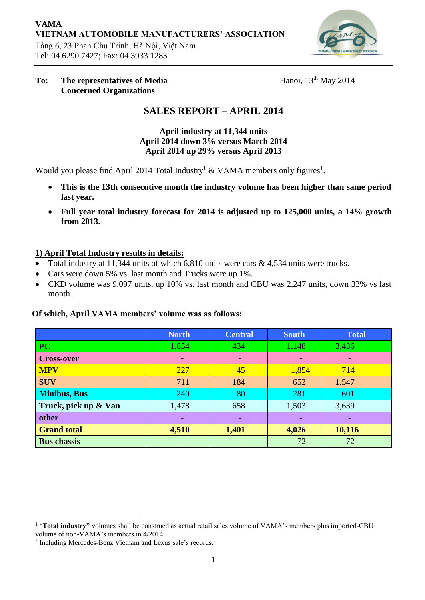

#### **To: The representatives of Media Concerned Organizations**

Hanoi,  $13<sup>th</sup>$  May 2014

# **SALES REPORT – APRIL 2014**

**April industry at 11,344 units April 2014 down 3% versus March 2014 April 2014 up 29% versus April 2013**

Would you please find April 2014 Total Industry<sup>1</sup> & VAMA members only figures<sup>1</sup>.

- **This is the 13th consecutive month the industry volume has been higher than same period last year.**
- **Full year total industry forecast for 2014 is adjusted up to 125,000 units, a 14% growth from 2013.**

## **1) April Total Industry results in details:**

- Total industry at 11,344 units of which 6,810 units were cars  $\&$  4,534 units were trucks.
- Cars were down 5% vs. last month and Trucks were up 1%.
- CKD volume was 9,097 units, up 10% vs. last month and CBU was 2,247 units, down 33% vs last month.

## **Of which, April VAMA members' volume was as follows:**

|                      | <b>North</b> | <b>Central</b> | <b>South</b>    | <b>Total</b> |
|----------------------|--------------|----------------|-----------------|--------------|
| <b>PC</b>            | 1,854        | 434            | 1,148           | 3,436        |
| <b>Cross-over</b>    |              | ۰              | $\qquad \qquad$ |              |
| <b>MPV</b>           | 227          | 45             | 1,854           | 714          |
| <b>SUV</b>           | 711          | 184            | 652             | 1,547        |
| <b>Minibus, Bus</b>  | 240          | 80             | 281             | 601          |
| Truck, pick up & Van | 1,478        | 658            | 1,503           | 3,639        |
| other                |              | ۰              |                 |              |
| <b>Grand total</b>   | 4,510        | 1,401          | 4,026           | 10,116       |
| <b>Bus chassis</b>   |              |                | 72              | 72           |

 $\overline{a}$ <sup>1</sup> "Total industry" volumes shall be construed as actual retail sales volume of VAMA's members plus imported-CBU volume of non-VAMA's members in 4/2014.

<sup>2</sup> Including Mercedes-Benz Vietnam and Lexus sale's records.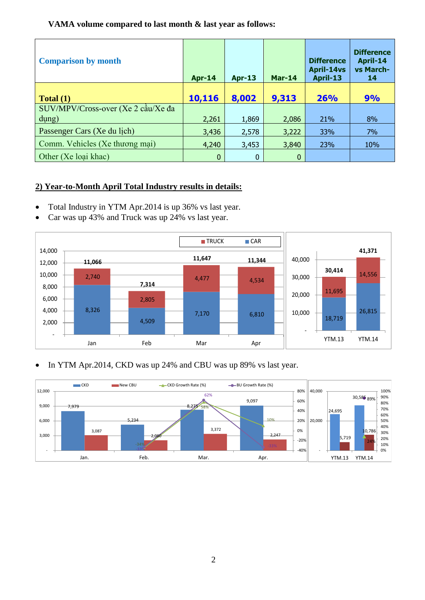#### **VAMA volume compared to last month & last year as follows:**

| <b>Comparison by month</b>            | <b>Apr-14</b> | <b>Apr-13</b> | Mar-14       | <b>Difference</b><br><b>April-14vs</b><br>April-13 | <b>Difference</b><br>April-14<br>vs March-<br>14 |
|---------------------------------------|---------------|---------------|--------------|----------------------------------------------------|--------------------------------------------------|
| Total(1)                              | 10,116        | 8,002         | 9,313        | 26%                                                | 9%                                               |
| $SUV/MPV/Cross-over (Xe 2 càu/Xe da)$ |               |               |              |                                                    |                                                  |
| $\frac{d\mu}{g}$                      | 2,261         | 1,869         | 2,086        | 21%                                                | 8%                                               |
| Passenger Cars (Xe du lich)           | 3,436         | 2,578         | 3,222        | 33%                                                | 7%                                               |
| Comm. Vehicles (Xe thương mại)        | 4,240         | 3,453         | 3,840        | 23%                                                | 10%                                              |
| Other (Xe loai khac)                  | 0             | $\mathbf 0$   | $\mathbf{0}$ |                                                    |                                                  |

## **2) Year-to-Month April Total Industry results in details:**

- Total Industry in YTM Apr.2014 is up 36% vs last year.
- Car was up 43% and Truck was up 24% vs last year.



#### • In YTM Apr.2014, CKD was up 24% and CBU was up 89% vs last year.